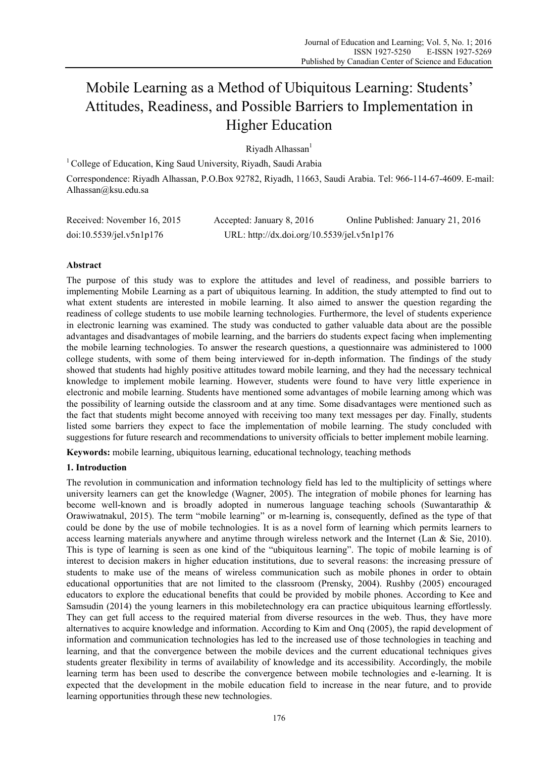# Mobile Learning as a Method of Ubiquitous Learning: Students' Attitudes, Readiness, and Possible Barriers to Implementation in Higher Education

 $Rivadh Alhassan<sup>1</sup>$ 

1 College of Education, King Saud University, Riyadh, Saudi Arabia

Correspondence: Riyadh Alhassan, P.O.Box 92782, Riyadh, 11663, Saudi Arabia. Tel: 966-114-67-4609. E-mail: Alhassan@ksu.edu.sa

| Received: November 16, 2015 | Accepted: January 8, 2016                   | Online Published: January 21, 2016 |
|-----------------------------|---------------------------------------------|------------------------------------|
| doi:10.5539/jel.v5n1p176    | URL: http://dx.doi.org/10.5539/jel.v5n1p176 |                                    |

# **Abstract**

The purpose of this study was to explore the attitudes and level of readiness, and possible barriers to implementing Mobile Learning as a part of ubiquitous learning. In addition, the study attempted to find out to what extent students are interested in mobile learning. It also aimed to answer the question regarding the readiness of college students to use mobile learning technologies. Furthermore, the level of students experience in electronic learning was examined. The study was conducted to gather valuable data about are the possible advantages and disadvantages of mobile learning, and the barriers do students expect facing when implementing the mobile learning technologies. To answer the research questions, a questionnaire was administered to 1000 college students, with some of them being interviewed for in-depth information. The findings of the study showed that students had highly positive attitudes toward mobile learning, and they had the necessary technical knowledge to implement mobile learning. However, students were found to have very little experience in electronic and mobile learning. Students have mentioned some advantages of mobile learning among which was the possibility of learning outside the classroom and at any time. Some disadvantages were mentioned such as the fact that students might become annoyed with receiving too many text messages per day. Finally, students listed some barriers they expect to face the implementation of mobile learning. The study concluded with suggestions for future research and recommendations to university officials to better implement mobile learning.

**Keywords:** mobile learning, ubiquitous learning, educational technology, teaching methods

# **1. Introduction**

The revolution in communication and information technology field has led to the multiplicity of settings where university learners can get the knowledge (Wagner, 2005). The integration of mobile phones for learning has become well-known and is broadly adopted in numerous language teaching schools (Suwantarathip & Orawiwatnakul, 2015). The term "mobile learning" or m-learning is, consequently, defined as the type of that could be done by the use of mobile technologies. It is as a novel form of learning which permits learners to access learning materials anywhere and anytime through wireless network and the Internet (Lan & Sie, 2010). This is type of learning is seen as one kind of the "ubiquitous learning". The topic of mobile learning is of interest to decision makers in higher education institutions, due to several reasons: the increasing pressure of students to make use of the means of wireless communication such as mobile phones in order to obtain educational opportunities that are not limited to the classroom (Prensky, 2004). Rushby (2005) encouraged educators to explore the educational benefits that could be provided by mobile phones. According to Kee and Samsudin (2014) the young learners in this mobiletechnology era can practice ubiquitous learning effortlessly. They can get full access to the required material from diverse resources in the web. Thus, they have more alternatives to acquire knowledge and information. According to Kim and Onq (2005), the rapid development of information and communication technologies has led to the increased use of those technologies in teaching and learning, and that the convergence between the mobile devices and the current educational techniques gives students greater flexibility in terms of availability of knowledge and its accessibility. Accordingly, the mobile learning term has been used to describe the convergence between mobile technologies and e-learning. It is expected that the development in the mobile education field to increase in the near future, and to provide learning opportunities through these new technologies.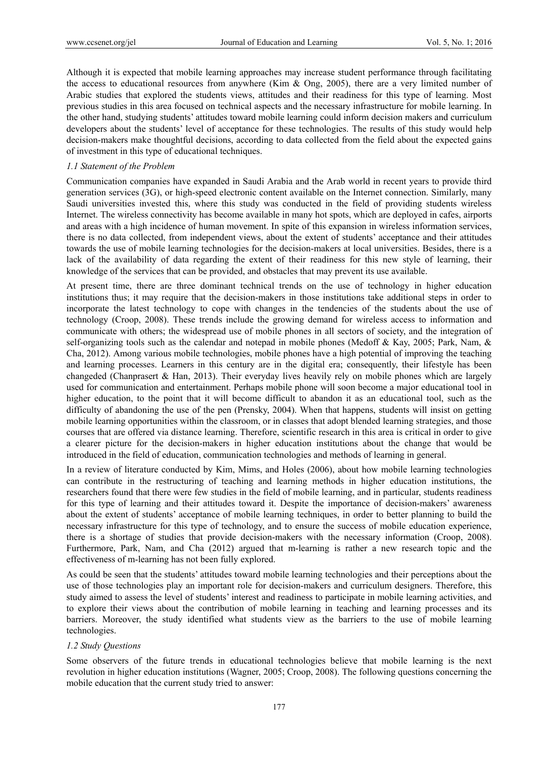Although it is expected that mobile learning approaches may increase student performance through facilitating the access to educational resources from anywhere (Kim & Ong, 2005), there are a very limited number of Arabic studies that explored the students views, attitudes and their readiness for this type of learning. Most previous studies in this area focused on technical aspects and the necessary infrastructure for mobile learning. In the other hand, studying students' attitudes toward mobile learning could inform decision makers and curriculum developers about the students' level of acceptance for these technologies. The results of this study would help decision-makers make thoughtful decisions, according to data collected from the field about the expected gains of investment in this type of educational techniques.

# *1.1 Statement of the Problem*

Communication companies have expanded in Saudi Arabia and the Arab world in recent years to provide third generation services (3G), or high-speed electronic content available on the Internet connection. Similarly, many Saudi universities invested this, where this study was conducted in the field of providing students wireless Internet. The wireless connectivity has become available in many hot spots, which are deployed in cafes, airports and areas with a high incidence of human movement. In spite of this expansion in wireless information services, there is no data collected, from independent views, about the extent of students' acceptance and their attitudes towards the use of mobile learning technologies for the decision-makers at local universities. Besides, there is a lack of the availability of data regarding the extent of their readiness for this new style of learning, their knowledge of the services that can be provided, and obstacles that may prevent its use available.

At present time, there are three dominant technical trends on the use of technology in higher education institutions thus; it may require that the decision-makers in those institutions take additional steps in order to incorporate the latest technology to cope with changes in the tendencies of the students about the use of technology (Croop, 2008). These trends include the growing demand for wireless access to information and communicate with others; the widespread use of mobile phones in all sectors of society, and the integration of self-organizing tools such as the calendar and notepad in mobile phones (Medoff & Kay, 2005; Park, Nam, & Cha, 2012). Among various mobile technologies, mobile phones have a high potential of improving the teaching and learning processes. Learners in this century are in the digital era; consequently, their lifestyle has been changeded (Chanprasert & Han, 2013). Their everyday lives heavily rely on mobile phones which are largely used for communication and entertainment. Perhaps mobile phone will soon become a major educational tool in higher education, to the point that it will become difficult to abandon it as an educational tool, such as the difficulty of abandoning the use of the pen (Prensky, 2004). When that happens, students will insist on getting mobile learning opportunities within the classroom, or in classes that adopt blended learning strategies, and those courses that are offered via distance learning. Therefore, scientific research in this area is critical in order to give a clearer picture for the decision-makers in higher education institutions about the change that would be introduced in the field of education, communication technologies and methods of learning in general.

In a review of literature conducted by Kim, Mims, and Holes (2006), about how mobile learning technologies can contribute in the restructuring of teaching and learning methods in higher education institutions, the researchers found that there were few studies in the field of mobile learning, and in particular, students readiness for this type of learning and their attitudes toward it. Despite the importance of decision-makers' awareness about the extent of students' acceptance of mobile learning techniques, in order to better planning to build the necessary infrastructure for this type of technology, and to ensure the success of mobile education experience, there is a shortage of studies that provide decision-makers with the necessary information (Croop, 2008). Furthermore, Park, Nam, and Cha (2012) argued that m-learning is rather a new research topic and the effectiveness of m-learning has not been fully explored.

As could be seen that the students' attitudes toward mobile learning technologies and their perceptions about the use of those technologies play an important role for decision-makers and curriculum designers. Therefore, this study aimed to assess the level of students' interest and readiness to participate in mobile learning activities, and to explore their views about the contribution of mobile learning in teaching and learning processes and its barriers. Moreover, the study identified what students view as the barriers to the use of mobile learning technologies.

# *1.2 Study Questions*

Some observers of the future trends in educational technologies believe that mobile learning is the next revolution in higher education institutions (Wagner, 2005; Croop, 2008). The following questions concerning the mobile education that the current study tried to answer: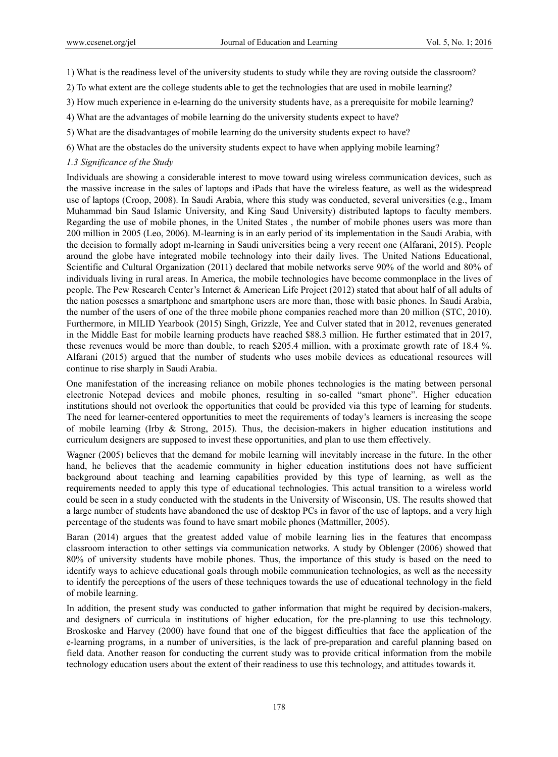1) What is the readiness level of the university students to study while they are roving outside the classroom?

2) To what extent are the college students able to get the technologies that are used in mobile learning?

- 3) How much experience in e-learning do the university students have, as a prerequisite for mobile learning?
- 4) What are the advantages of mobile learning do the university students expect to have?
- 5) What are the disadvantages of mobile learning do the university students expect to have?
- 6) What are the obstacles do the university students expect to have when applying mobile learning?

# *1.3 Significance of the Study*

Individuals are showing a considerable interest to move toward using wireless communication devices, such as the massive increase in the sales of laptops and iPads that have the wireless feature, as well as the widespread use of laptops (Croop, 2008). In Saudi Arabia, where this study was conducted, several universities (e.g., Imam Muhammad bin Saud Islamic University, and King Saud University) distributed laptops to faculty members. Regarding the use of mobile phones, in the United States , the number of mobile phones users was more than 200 million in 2005 (Leo, 2006). M-learning is in an early period of its implementation in the Saudi Arabia, with the decision to formally adopt m-learning in Saudi universities being a very recent one (Alfarani, 2015) . People around the globe have integrated mobile technology into their daily lives. The United Nations Educational, Scientific and Cultural Organization (2011) declared that mobile networks serve 90% of the world and 80% of individuals living in rural areas. In America, the mobile technologies have become commonplace in the lives of people. The Pew Research Center's Internet & American Life Project (2012) stated that about half of all adults of the nation posesses a smartphone and smartphone users are more than, those with basic phones. In Saudi Arabia, the number of the users of one of the three mobile phone companies reached more than 20 million (STC, 2010). Furthermore, in MILID Yearbook (2015) Singh, Grizzle, Yee and Culver stated that in 2012, revenues generated in the Middle East for mobile learning products have reached \$88.3 million. He further estimated that in 2017, these revenues would be more than double, to reach \$205.4 million, with a proximate growth rate of 18.4 %. Alfarani (2015) argued that the number of students who uses mobile devices as educational resources will continue to rise sharply in Saudi Arabia.

One manifestation of the increasing reliance on mobile phones technologies is the mating between personal electronic Notepad devices and mobile phones, resulting in so-called "smart phone". Higher education institutions should not overlook the opportunities that could be provided via this type of learning for students. The need for learner-centered opportunities to meet the requirements of today's learners is increasing the scope of mobile learning (Irby  $\&$  Strong, 2015). Thus, the decision-makers in higher education institutions and curriculum designers are supposed to invest these opportunities, and plan to use them effectively.

Wagner (2005) believes that the demand for mobile learning will inevitably increase in the future. In the other hand, he believes that the academic community in higher education institutions does not have sufficient background about teaching and learning capabilities provided by this type of learning, as well as the requirements needed to apply this type of educational technologies. This actual transition to a wireless world could be seen in a study conducted with the students in the University of Wisconsin, US. The results showed that a large number of students have abandoned the use of desktop PCs in favor of the use of laptops, and a very high percentage of the students was found to have smart mobile phones (Mattmiller, 2005).

Baran (2014) argues that the greatest added value of mobile learning lies in the features that encompass classroom interaction to other settings via communication networks. A study by Oblenger (2006) showed that 80% of university students have mobile phones. Thus, the importance of this study is based on the need to identify ways to achieve educational goals through mobile communication technologies, as well as the necessity to identify the perceptions of the users of these techniques towards the use of educational technology in the field of mobile learning.

In addition, the present study was conducted to gather information that might be required by decision-makers, and designers of curricula in institutions of higher education, for the pre-planning to use this technology. Broskoske and Harvey (2000) have found that one of the biggest difficulties that face the application of the e-learning programs, in a number of universities, is the lack of pre-preparation and careful planning based on field data. Another reason for conducting the current study was to provide critical information from the mobile technology education users about the extent of their readiness to use this technology, and attitudes towards it.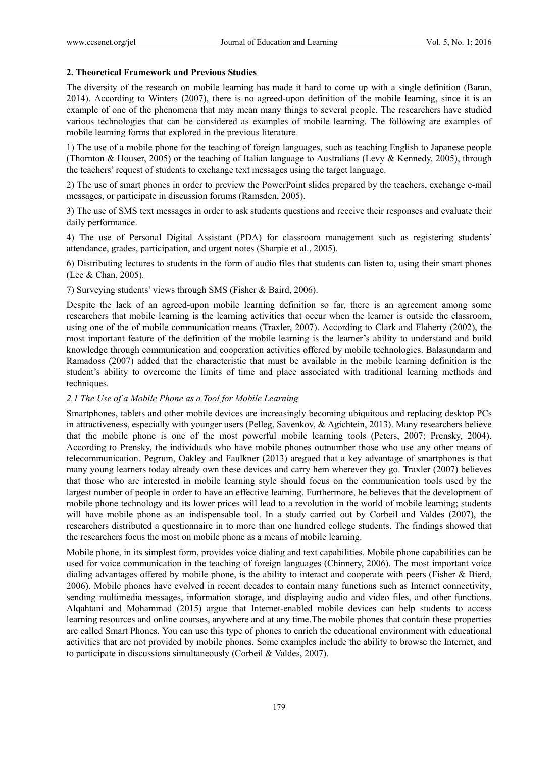# **2. Theoretical Framework and Previous Studies**

The diversity of the research on mobile learning has made it hard to come up with a single definition (Baran, 2014). According to Winters (2007), there is no agreed-upon definition of the mobile learning, since it is an example of one of the phenomena that may mean many things to several people. The researchers have studied various technologies that can be considered as examples of mobile learning. The following are examples of mobile learning forms that explored in the previous literature*.*

1) The use of a mobile phone for the teaching of foreign languages, such as teaching English to Japanese people (Thornton & Houser, 2005) or the teaching of Italian language to Australians (Levy & Kennedy, 2005), through the teachers' request of students to exchange text messages using the target language.

2) The use of smart phones in order to preview the PowerPoint slides prepared by the teachers, exchange e-mail messages, or participate in discussion forums (Ramsden, 2005).

3) The use of SMS text messages in order to ask students questions and receive their responses and evaluate their daily performance.

4) The use of Personal Digital Assistant (PDA) for classroom management such as registering students' attendance, grades, participation, and urgent notes (Sharpie et al., 2005).

6) Distributing lectures to students in the form of audio files that students can listen to, using their smart phones (Lee & Chan, 2005).

7) Surveying students' views through SMS (Fisher & Baird, 2006).

Despite the lack of an agreed-upon mobile learning definition so far, there is an agreement among some researchers that mobile learning is the learning activities that occur when the learner is outside the classroom, using one of the of mobile communication means (Traxler, 2007). According to Clark and Flaherty (2002), the most important feature of the definition of the mobile learning is the learner's ability to understand and build knowledge through communication and cooperation activities offered by mobile technologies. Balasundarm and Ramadoss (2007) added that the characteristic that must be available in the mobile learning definition is the student's ability to overcome the limits of time and place associated with traditional learning methods and techniques.

# *2.1 The Use of a Mobile Phone as a Tool for Mobile Learning*

Smartphones, tablets and other mobile devices are increasingly becoming ubiquitous and replacing desktop PCs in attractiveness, especially with younger users (Pelleg, Savenkov, & Agichtein, 2013). Many researchers believe that the mobile phone is one of the most powerful mobile learning tools (Peters, 2007; Prensky, 2004). According to Prensky, the individuals who have mobile phones outnumber those who use any other means of telecommunication. Pegrum, Oakley and Faulkner (2013) aregued that a key advantage of smartphones is that many young learners today already own these devices and carry hem wherever they go. Traxler (2007) believes that those who are interested in mobile learning style should focus on the communication tools used by the largest number of people in order to have an effective learning. Furthermore, he believes that the development of mobile phone technology and its lower prices will lead to a revolution in the world of mobile learning; students will have mobile phone as an indispensable tool. In a study carried out by Corbeil and Valdes (2007), the researchers distributed a questionnaire in to more than one hundred college students. The findings showed that the researchers focus the most on mobile phone as a means of mobile learning.

Mobile phone, in its simplest form, provides voice dialing and text capabilities. Mobile phone capabilities can be used for voice communication in the teaching of foreign languages (Chinnery, 2006). The most important voice dialing advantages offered by mobile phone, is the ability to interact and cooperate with peers (Fisher & Bierd, 2006). Mobile phones have evolved in recent decades to contain many functions such as Internet connectivity, sending multimedia messages, information storage, and displaying audio and video files, and other functions. Alqahtani and Mohammad (2015) argue that Internet-enabled mobile devices can help students to access learning resources and online courses, anywhere and at any time.The mobile phones that contain these properties are called Smart Phones. You can use this type of phones to enrich the educational environment with educational activities that are not provided by mobile phones. Some examples include the ability to browse the Internet, and to participate in discussions simultaneously (Corbeil & Valdes, 2007).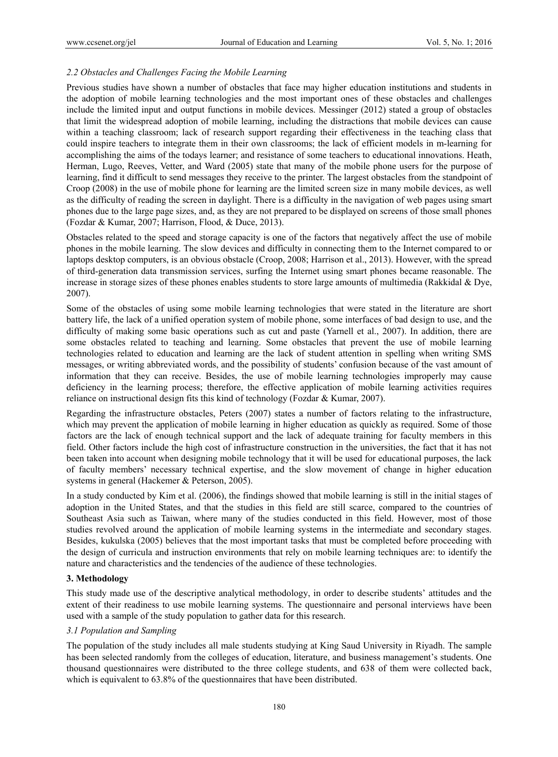# *2.2 Obstacles and Challenges Facing the Mobile Learning*

Previous studies have shown a number of obstacles that face may higher education institutions and students in the adoption of mobile learning technologies and the most important ones of these obstacles and challenges include the limited input and output functions in mobile devices. Messinger (2012) stated a group of obstacles that limit the widespread adoption of mobile learning, including the distractions that mobile devices can cause within a teaching classroom; lack of research support regarding their effectiveness in the teaching class that could inspire teachers to integrate them in their own classrooms; the lack of efficient models in m-learning for accomplishing the aims of the todays learner; and resistance of some teachers to educational innovations. Heath, Herman, Lugo, Reeves, Vetter, and Ward (2005) state that many of the mobile phone users for the purpose of learning, find it difficult to send messages they receive to the printer. The largest obstacles from the standpoint of Croop (2008) in the use of mobile phone for learning are the limited screen size in many mobile devices, as well as the difficulty of reading the screen in daylight. There is a difficulty in the navigation of web pages using smart phones due to the large page sizes, and, as they are not prepared to be displayed on screens of those small phones (Fozdar & Kumar, 2007; Harrison, Flood, & Duce, 2013).

Obstacles related to the speed and storage capacity is one of the factors that negatively affect the use of mobile phones in the mobile learning. The slow devices and difficulty in connecting them to the Internet compared to or laptops desktop computers, is an obvious obstacle (Croop, 2008; Harrison et al., 2013). However, with the spread of third-generation data transmission services, surfing the Internet using smart phones became reasonable. The increase in storage sizes of these phones enables students to store large amounts of multimedia (Rakkidal & Dye, 2007).

Some of the obstacles of using some mobile learning technologies that were stated in the literature are short battery life, the lack of a unified operation system of mobile phone, some interfaces of bad design to use, and the difficulty of making some basic operations such as cut and paste (Yarnell et al., 2007). In addition, there are some obstacles related to teaching and learning. Some obstacles that prevent the use of mobile learning technologies related to education and learning are the lack of student attention in spelling when writing SMS messages, or writing abbreviated words, and the possibility of students' confusion because of the vast amount of information that they can receive. Besides, the use of mobile learning technologies improperly may cause deficiency in the learning process; therefore, the effective application of mobile learning activities requires reliance on instructional design fits this kind of technology (Fozdar & Kumar, 2007).

Regarding the infrastructure obstacles, Peters (2007) states a number of factors relating to the infrastructure, which may prevent the application of mobile learning in higher education as quickly as required. Some of those factors are the lack of enough technical support and the lack of adequate training for faculty members in this field. Other factors include the high cost of infrastructure construction in the universities, the fact that it has not been taken into account when designing mobile technology that it will be used for educational purposes, the lack of faculty members' necessary technical expertise, and the slow movement of change in higher education systems in general (Hackemer & Peterson, 2005).

In a study conducted by Kim et al. (2006), the findings showed that mobile learning is still in the initial stages of adoption in the United States, and that the studies in this field are still scarce, compared to the countries of Southeast Asia such as Taiwan, where many of the studies conducted in this field. However, most of those studies revolved around the application of mobile learning systems in the intermediate and secondary stages. Besides, kukulska (2005) believes that the most important tasks that must be completed before proceeding with the design of curricula and instruction environments that rely on mobile learning techniques are: to identify the nature and characteristics and the tendencies of the audience of these technologies.

# **3. Methodology**

This study made use of the descriptive analytical methodology, in order to describe students' attitudes and the extent of their readiness to use mobile learning systems. The questionnaire and personal interviews have been used with a sample of the study population to gather data for this research.

# *3.1 Population and Sampling*

The population of the study includes all male students studying at King Saud University in Riyadh. The sample has been selected randomly from the colleges of education, literature, and business management's students. One thousand questionnaires were distributed to the three college students, and 638 of them were collected back, which is equivalent to 63.8% of the questionnaires that have been distributed.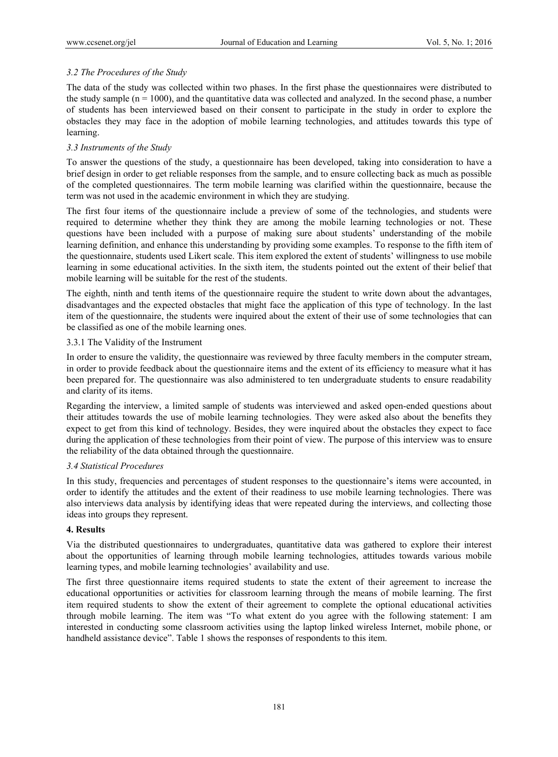# *3.2 The Procedures of the Study*

The data of the study was collected within two phases. In the first phase the questionnaires were distributed to the study sample  $(n = 1000)$ , and the quantitative data was collected and analyzed. In the second phase, a number of students has been interviewed based on their consent to participate in the study in order to explore the obstacles they may face in the adoption of mobile learning technologies, and attitudes towards this type of learning.

# *3.3 Instruments of the Study*

To answer the questions of the study, a questionnaire has been developed, taking into consideration to have a brief design in order to get reliable responses from the sample, and to ensure collecting back as much as possible of the completed questionnaires. The term mobile learning was clarified within the questionnaire, because the term was not used in the academic environment in which they are studying.

The first four items of the questionnaire include a preview of some of the technologies, and students were required to determine whether they think they are among the mobile learning technologies or not. These questions have been included with a purpose of making sure about students' understanding of the mobile learning definition, and enhance this understanding by providing some examples. To response to the fifth item of the questionnaire, students used Likert scale. This item explored the extent of students' willingness to use mobile learning in some educational activities. In the sixth item, the students pointed out the extent of their belief that mobile learning will be suitable for the rest of the students.

The eighth, ninth and tenth items of the questionnaire require the student to write down about the advantages, disadvantages and the expected obstacles that might face the application of this type of technology. In the last item of the questionnaire, the students were inquired about the extent of their use of some technologies that can be classified as one of the mobile learning ones.

# 3.3.1 The Validity of the Instrument

In order to ensure the validity, the questionnaire was reviewed by three faculty members in the computer stream, in order to provide feedback about the questionnaire items and the extent of its efficiency to measure what it has been prepared for. The questionnaire was also administered to ten undergraduate students to ensure readability and clarity of its items.

Regarding the interview, a limited sample of students was interviewed and asked open-ended questions about their attitudes towards the use of mobile learning technologies. They were asked also about the benefits they expect to get from this kind of technology. Besides, they were inquired about the obstacles they expect to face during the application of these technologies from their point of view. The purpose of this interview was to ensure the reliability of the data obtained through the questionnaire.

# *3.4 Statistical Procedures*

In this study, frequencies and percentages of student responses to the questionnaire's items were accounted, in order to identify the attitudes and the extent of their readiness to use mobile learning technologies. There was also interviews data analysis by identifying ideas that were repeated during the interviews, and collecting those ideas into groups they represent.

# **4. Results**

Via the distributed questionnaires to undergraduates, quantitative data was gathered to explore their interest about the opportunities of learning through mobile learning technologies, attitudes towards various mobile learning types, and mobile learning technologies' availability and use.

The first three questionnaire items required students to state the extent of their agreement to increase the educational opportunities or activities for classroom learning through the means of mobile learning. The first item required students to show the extent of their agreement to complete the optional educational activities through mobile learning. The item was "To what extent do you agree with the following statement: I am interested in conducting some classroom activities using the laptop linked wireless Internet, mobile phone, or handheld assistance device". Table 1 shows the responses of respondents to this item.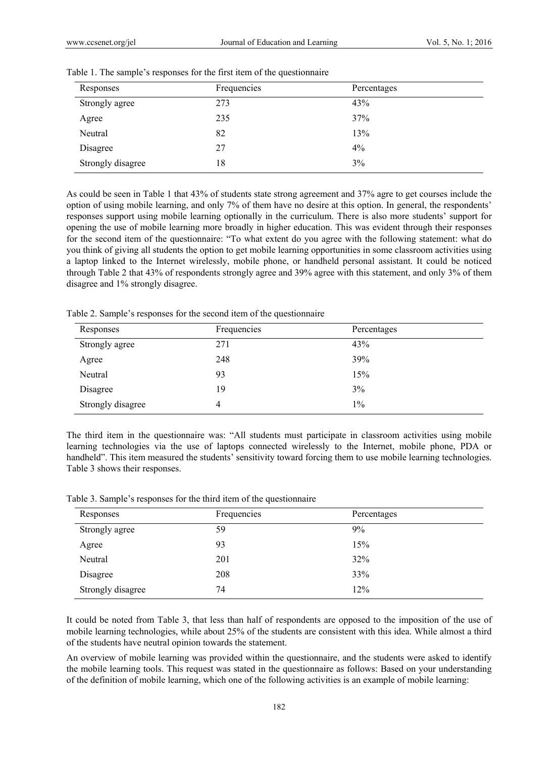| Responses         | Frequencies | Percentages |  |
|-------------------|-------------|-------------|--|
| Strongly agree    | 273         | 43%         |  |
| Agree             | 235         | 37%         |  |
| Neutral           | 82          | 13%         |  |
| Disagree          | 27          | $4\%$       |  |
| Strongly disagree | 18          | 3%          |  |

Table 1. The sample's responses for the first item of the questionnaire

As could be seen in Table 1 that 43% of students state strong agreement and 37% agre to get courses include the option of using mobile learning, and only 7% of them have no desire at this option. In general, the respondents' responses support using mobile learning optionally in the curriculum. There is also more students' support for opening the use of mobile learning more broadly in higher education. This was evident through their responses for the second item of the questionnaire: "To what extent do you agree with the following statement: what do you think of giving all students the option to get mobile learning opportunities in some classroom activities using a laptop linked to the Internet wirelessly, mobile phone, or handheld personal assistant. It could be noticed through Table 2 that 43% of respondents strongly agree and 39% agree with this statement, and only 3% of them disagree and 1% strongly disagree.

Table 2. Sample's responses for the second item of the questionnaire

| Responses         | Frequencies | Percentages |
|-------------------|-------------|-------------|
| Strongly agree    | 271         | 43%         |
| Agree             | 248         | 39%         |
| Neutral           | 93          | 15%         |
| Disagree          | 19          | 3%          |
| Strongly disagree | 4           | $1\%$       |

The third item in the questionnaire was: "All students must participate in classroom activities using mobile learning technologies via the use of laptops connected wirelessly to the Internet, mobile phone, PDA or handheld". This item measured the students' sensitivity toward forcing them to use mobile learning technologies. Table 3 shows their responses.

| Responses         | Frequencies | Percentages |  |
|-------------------|-------------|-------------|--|
| Strongly agree    | 59          | 9%          |  |
| Agree             | 93          | 15%         |  |
| Neutral           | 201         | 32%         |  |
| Disagree          | 208         | 33%         |  |
| Strongly disagree | 74          | 12%         |  |

Table 3. Sample's responses for the third item of the questionnaire

It could be noted from Table 3, that less than half of respondents are opposed to the imposition of the use of mobile learning technologies, while about 25% of the students are consistent with this idea. While almost a third of the students have neutral opinion towards the statement.

An overview of mobile learning was provided within the questionnaire, and the students were asked to identify the mobile learning tools. This request was stated in the questionnaire as follows: Based on your understanding of the definition of mobile learning, which one of the following activities is an example of mobile learning: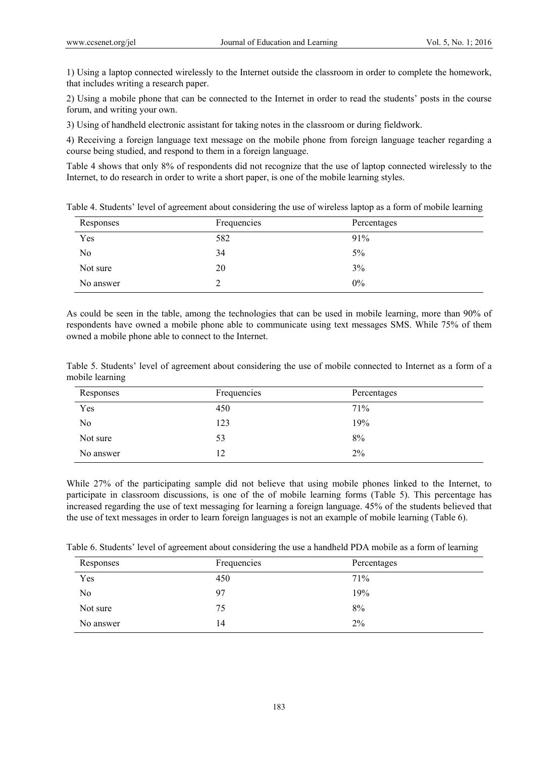1) Using a laptop connected wirelessly to the Internet outside the classroom in order to complete the homework, that includes writing a research paper.

2) Using a mobile phone that can be connected to the Internet in order to read the students' posts in the course forum, and writing your own.

3) Using of handheld electronic assistant for taking notes in the classroom or during fieldwork.

4) Receiving a foreign language text message on the mobile phone from foreign language teacher regarding a course being studied, and respond to them in a foreign language.

Table 4 shows that only 8% of respondents did not recognize that the use of laptop connected wirelessly to the Internet, to do research in order to write a short paper, is one of the mobile learning styles.

| Responses | Frequencies | Percentages |
|-----------|-------------|-------------|
| Yes       | 582         | 91%         |
| No        | 34          | 5%          |
| Not sure  | 20          | 3%          |
| No answer | ◠           | $0\%$       |

Table 4. Students' level of agreement about considering the use of wireless laptop as a form of mobile learning

As could be seen in the table, among the technologies that can be used in mobile learning, more than 90% of respondents have owned a mobile phone able to communicate using text messages SMS. While 75% of them owned a mobile phone able to connect to the Internet.

Table 5. Students' level of agreement about considering the use of mobile connected to Internet as a form of a mobile learning

| Responses | Frequencies | Percentages |
|-----------|-------------|-------------|
| Yes       | 450         | 71%         |
| No        | 123         | 19%         |
| Not sure  | 53          | 8%          |
| No answer | 12          | 2%          |

While 27% of the participating sample did not believe that using mobile phones linked to the Internet, to participate in classroom discussions, is one of the of mobile learning forms (Table 5). This percentage has increased regarding the use of text messaging for learning a foreign language. 45% of the students believed that the use of text messages in order to learn foreign languages is not an example of mobile learning (Table 6).

Table 6. Students' level of agreement about considering the use a handheld PDA mobile as a form of learning

| Responses | Frequencies | Percentages |
|-----------|-------------|-------------|
| Yes       | 450         | 71%         |
| No        | 97          | 19%         |
| Not sure  | 75          | 8%          |
| No answer | 14          | 2%          |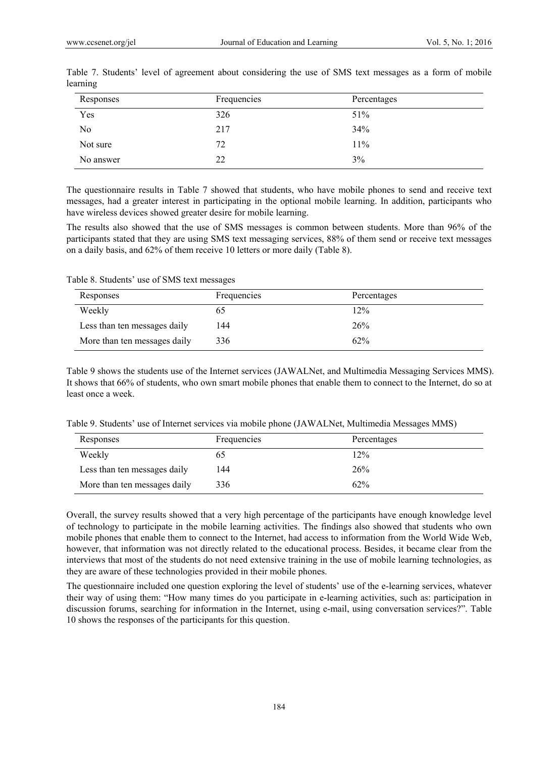| Responses | Frequencies | Percentages |
|-----------|-------------|-------------|
| Yes       | 326         | 51%         |
| No        | 217         | 34%         |
| Not sure  | 72          | 11%         |
| No answer | 22          | 3%          |

Table 7. Students' level of agreement about considering the use of SMS text messages as a form of mobile learning

The questionnaire results in Table 7 showed that students, who have mobile phones to send and receive text messages, had a greater interest in participating in the optional mobile learning. In addition, participants who have wireless devices showed greater desire for mobile learning.

The results also showed that the use of SMS messages is common between students. More than 96% of the participants stated that they are using SMS text messaging services, 88% of them send or receive text messages on a daily basis, and 62% of them receive 10 letters or more daily (Table 8).

Table 8. Students' use of SMS text messages

| Responses                    | Frequencies | Percentages |
|------------------------------|-------------|-------------|
| Weekly                       | 65          | 12%         |
| Less than ten messages daily | 144         | 26%         |
| More than ten messages daily | 336         | 62%         |

Table 9 shows the students use of the Internet services (JAWALNet, and Multimedia Messaging Services MMS). It shows that 66% of students, who own smart mobile phones that enable them to connect to the Internet, do so at least once a week.

Table 9. Students' use of Internet services via mobile phone (JAWALNet, Multimedia Messages MMS)

| Responses                    | Frequencies | Percentages |
|------------------------------|-------------|-------------|
| Weekly                       | 65          | 12%         |
| Less than ten messages daily | 144         | 26%         |
| More than ten messages daily | 336         | 62%         |

Overall, the survey results showed that a very high percentage of the participants have enough knowledge level of technology to participate in the mobile learning activities. The findings also showed that students who own mobile phones that enable them to connect to the Internet, had access to information from the World Wide Web, however, that information was not directly related to the educational process. Besides, it became clear from the interviews that most of the students do not need extensive training in the use of mobile learning technologies, as they are aware of these technologies provided in their mobile phones.

The questionnaire included one question exploring the level of students' use of the e-learning services, whatever their way of using them: "How many times do you participate in e-learning activities, such as: participation in discussion forums, searching for information in the Internet, using e-mail, using conversation services?". Table 10 shows the responses of the participants for this question.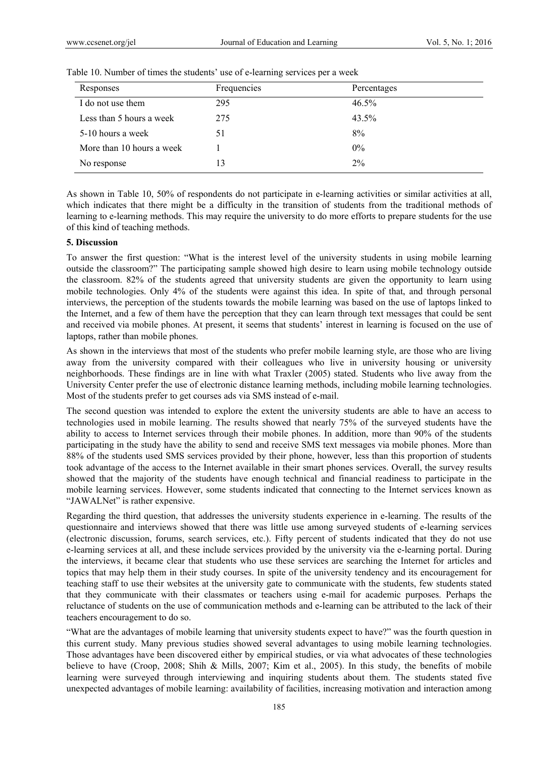| Responses                 | Frequencies | Percentages |  |
|---------------------------|-------------|-------------|--|
| I do not use them         | 295         | 46.5%       |  |
| Less than 5 hours a week  | 275         | 43.5%       |  |
| 5-10 hours a week         | 51          | 8%          |  |
| More than 10 hours a week |             | $0\%$       |  |
| No response               | 13          | 2%          |  |

Table 10. Number of times the students' use of e-learning services per a week

As shown in Table 10, 50% of respondents do not participate in e-learning activities or similar activities at all, which indicates that there might be a difficulty in the transition of students from the traditional methods of learning to e-learning methods. This may require the university to do more efforts to prepare students for the use of this kind of teaching methods.

#### **5. Discussion**

To answer the first question: "What is the interest level of the university students in using mobile learning outside the classroom?" The participating sample showed high desire to learn using mobile technology outside the classroom. 82% of the students agreed that university students are given the opportunity to learn using mobile technologies. Only 4% of the students were against this idea. In spite of that, and through personal interviews, the perception of the students towards the mobile learning was based on the use of laptops linked to the Internet, and a few of them have the perception that they can learn through text messages that could be sent and received via mobile phones. At present, it seems that students' interest in learning is focused on the use of laptops, rather than mobile phones.

As shown in the interviews that most of the students who prefer mobile learning style, are those who are living away from the university compared with their colleagues who live in university housing or university neighborhoods. These findings are in line with what Traxler (2005) stated. Students who live away from the University Center prefer the use of electronic distance learning methods, including mobile learning technologies. Most of the students prefer to get courses ads via SMS instead of e-mail.

The second question was intended to explore the extent the university students are able to have an access to technologies used in mobile learning. The results showed that nearly 75% of the surveyed students have the ability to access to Internet services through their mobile phones. In addition, more than 90% of the students participating in the study have the ability to send and receive SMS text messages via mobile phones. More than 88% of the students used SMS services provided by their phone, however, less than this proportion of students took advantage of the access to the Internet available in their smart phones services. Overall, the survey results showed that the majority of the students have enough technical and financial readiness to participate in the mobile learning services. However, some students indicated that connecting to the Internet services known as "JAWALNet" is rather expensive.

Regarding the third question, that addresses the university students experience in e-learning. The results of the questionnaire and interviews showed that there was little use among surveyed students of e-learning services (electronic discussion, forums, search services, etc.). Fifty percent of students indicated that they do not use e-learning services at all, and these include services provided by the university via the e-learning portal. During the interviews, it became clear that students who use these services are searching the Internet for articles and topics that may help them in their study courses. In spite of the university tendency and its encouragement for teaching staff to use their websites at the university gate to communicate with the students, few students stated that they communicate with their classmates or teachers using e-mail for academic purposes. Perhaps the reluctance of students on the use of communication methods and e-learning can be attributed to the lack of their teachers encouragement to do so.

"What are the advantages of mobile learning that university students expect to have?" was the fourth question in this current study. Many previous studies showed several advantages to using mobile learning technologies. Those advantages have been discovered either by empirical studies, or via what advocates of these technologies believe to have (Croop, 2008; Shih & Mills, 2007; Kim et al., 2005). In this study, the benefits of mobile learning were surveyed through interviewing and inquiring students about them. The students stated five unexpected advantages of mobile learning: availability of facilities, increasing motivation and interaction among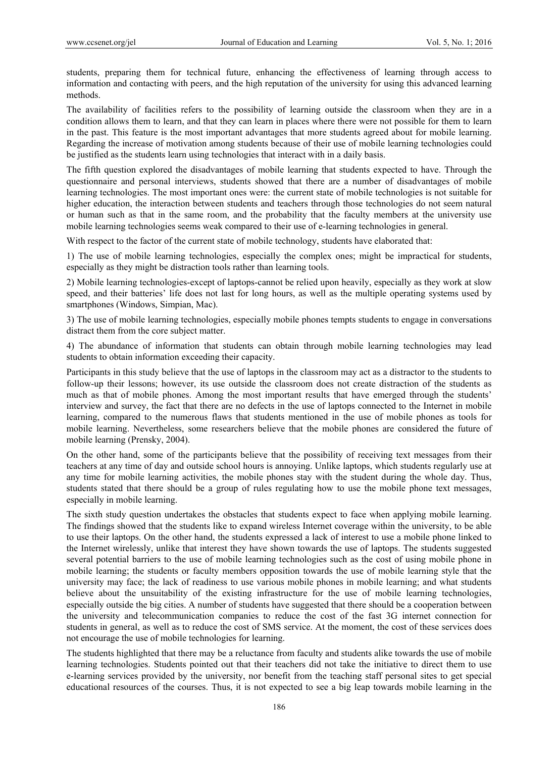students, preparing them for technical future, enhancing the effectiveness of learning through access to information and contacting with peers, and the high reputation of the university for using this advanced learning methods.

The availability of facilities refers to the possibility of learning outside the classroom when they are in a condition allows them to learn, and that they can learn in places where there were not possible for them to learn in the past. This feature is the most important advantages that more students agreed about for mobile learning. Regarding the increase of motivation among students because of their use of mobile learning technologies could be justified as the students learn using technologies that interact with in a daily basis.

The fifth question explored the disadvantages of mobile learning that students expected to have. Through the questionnaire and personal interviews, students showed that there are a number of disadvantages of mobile learning technologies. The most important ones were: the current state of mobile technologies is not suitable for higher education, the interaction between students and teachers through those technologies do not seem natural or human such as that in the same room, and the probability that the faculty members at the university use mobile learning technologies seems weak compared to their use of e-learning technologies in general.

With respect to the factor of the current state of mobile technology, students have elaborated that:

1) The use of mobile learning technologies, especially the complex ones; might be impractical for students, especially as they might be distraction tools rather than learning tools.

2) Mobile learning technologies-except of laptops-cannot be relied upon heavily, especially as they work at slow speed, and their batteries' life does not last for long hours, as well as the multiple operating systems used by smartphones (Windows, Simpian, Mac).

3) The use of mobile learning technologies, especially mobile phones tempts students to engage in conversations distract them from the core subject matter.

4) The abundance of information that students can obtain through mobile learning technologies may lead students to obtain information exceeding their capacity.

Participants in this study believe that the use of laptops in the classroom may act as a distractor to the students to follow-up their lessons; however, its use outside the classroom does not create distraction of the students as much as that of mobile phones. Among the most important results that have emerged through the students' interview and survey, the fact that there are no defects in the use of laptops connected to the Internet in mobile learning, compared to the numerous flaws that students mentioned in the use of mobile phones as tools for mobile learning. Nevertheless, some researchers believe that the mobile phones are considered the future of mobile learning (Prensky, 2004).

On the other hand, some of the participants believe that the possibility of receiving text messages from their teachers at any time of day and outside school hours is annoying. Unlike laptops, which students regularly use at any time for mobile learning activities, the mobile phones stay with the student during the whole day. Thus, students stated that there should be a group of rules regulating how to use the mobile phone text messages, especially in mobile learning.

The sixth study question undertakes the obstacles that students expect to face when applying mobile learning. The findings showed that the students like to expand wireless Internet coverage within the university, to be able to use their laptops. On the other hand, the students expressed a lack of interest to use a mobile phone linked to the Internet wirelessly, unlike that interest they have shown towards the use of laptops. The students suggested several potential barriers to the use of mobile learning technologies such as the cost of using mobile phone in mobile learning; the students or faculty members opposition towards the use of mobile learning style that the university may face; the lack of readiness to use various mobile phones in mobile learning; and what students believe about the unsuitability of the existing infrastructure for the use of mobile learning technologies, especially outside the big cities. A number of students have suggested that there should be a cooperation between the university and telecommunication companies to reduce the cost of the fast 3G internet connection for students in general, as well as to reduce the cost of SMS service. At the moment, the cost of these services does not encourage the use of mobile technologies for learning.

The students highlighted that there may be a reluctance from faculty and students alike towards the use of mobile learning technologies. Students pointed out that their teachers did not take the initiative to direct them to use e-learning services provided by the university, nor benefit from the teaching staff personal sites to get special educational resources of the courses. Thus, it is not expected to see a big leap towards mobile learning in the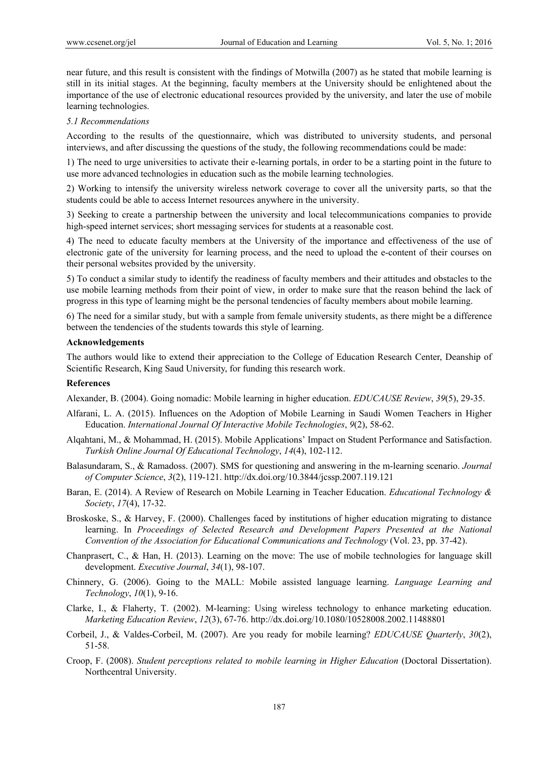near future, and this result is consistent with the findings of Motwilla (2007) as he stated that mobile learning is still in its initial stages. At the beginning, faculty members at the University should be enlightened about the importance of the use of electronic educational resources provided by the university, and later the use of mobile learning technologies.

#### *5.1 Recommendations*

According to the results of the questionnaire, which was distributed to university students, and personal interviews, and after discussing the questions of the study, the following recommendations could be made:

1) The need to urge universities to activate their e-learning portals, in order to be a starting point in the future to use more advanced technologies in education such as the mobile learning technologies.

2) Working to intensify the university wireless network coverage to cover all the university parts, so that the students could be able to access Internet resources anywhere in the university.

3) Seeking to create a partnership between the university and local telecommunications companies to provide high-speed internet services; short messaging services for students at a reasonable cost.

4) The need to educate faculty members at the University of the importance and effectiveness of the use of electronic gate of the university for learning process, and the need to upload the e-content of their courses on their personal websites provided by the university.

5) To conduct a similar study to identify the readiness of faculty members and their attitudes and obstacles to the use mobile learning methods from their point of view, in order to make sure that the reason behind the lack of progress in this type of learning might be the personal tendencies of faculty members about mobile learning.

6) The need for a similar study, but with a sample from female university students, as there might be a difference between the tendencies of the students towards this style of learning.

#### **Acknowledgements**

The authors would like to extend their appreciation to the College of Education Research Center, Deanship of Scientific Research, King Saud University, for funding this research work.

#### **References**

Alexander, B. (2004). Going nomadic: Mobile learning in higher education. *EDUCAUSE Review*, *39*(5), 29-35.

- Alfarani, L. A. (2015) . Influences on the Adoption of Mobile Learning in Saudi Women Teachers in Higher Education. *International Journal Of Interactive Mobile Technologies*, *9*(2) , 58-62.
- Alqahtani, M. , & Mohammad, H. (2015) . Mobile Applications' Impact on Student Performance and Satisfaction. *Turkish Online Journal Of Educational Technology*, *14*(4) , 102-112.
- Balasundaram, S., & Ramadoss. (2007). SMS for questioning and answering in the m-learning scenario. *Journal of Computer Science*, *3*(2), 119-121. http://dx.doi.org/10.3844/jcssp.2007.119.121
- Baran, E. (2014). A Review of Research on Mobile Learning in Teacher Education. *Educational Technology & Society*, *17*(4), 17-32.
- Broskoske, S., & Harvey, F. (2000). Challenges faced by institutions of higher education migrating to distance learning. In *Proceedings of Selected Research and Development Papers Presented at the National Convention of the Association for Educational Communications and Technology* (Vol. 23, pp. 37-42).
- Chanprasert, C., & Han, H. (2013). Learning on the move: The use of mobile technologies for language skill development. *Executive Journal*, *34*(1), 98-107.
- Chinnery, G. (2006). Going to the MALL: Mobile assisted language learning. *Language Learning and Technology*, *10*(1), 9-16.
- Clarke, I., & Flaherty, T. (2002). M-learning: Using wireless technology to enhance marketing education. *Marketing Education Review*, *12*(3), 67-76. http://dx.doi.org/10.1080/10528008.2002.11488801
- Corbeil, J., & Valdes-Corbeil, M. (2007). Are you ready for mobile learning? *EDUCAUSE Quarterly*, *30*(2), 51-58.
- Croop, F. (2008). *Student perceptions related to mobile learning in Higher Education* (Doctoral Dissertation). Northcentral University.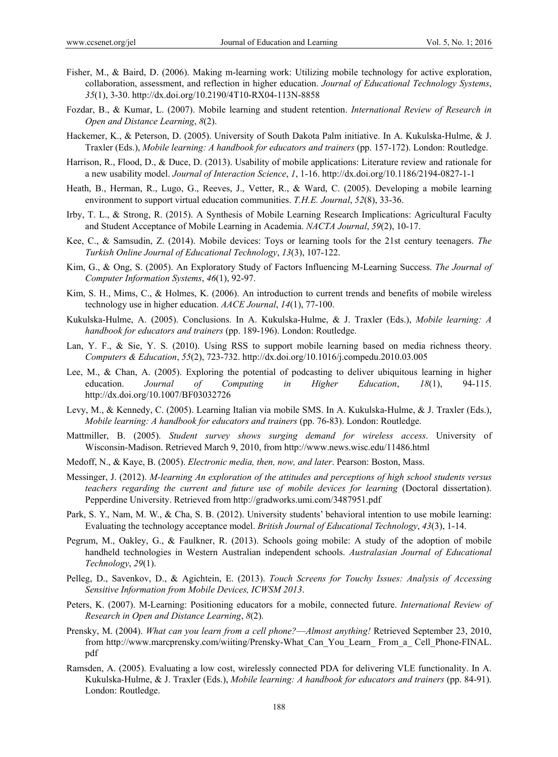- Fisher, M., & Baird, D. (2006). Making m-learning work: Utilizing mobile technology for active exploration, collaboration, assessment, and reflection in higher education. *Journal of Educational Technology Systems*, *35*(1), 3-30. http://dx.doi.org/10.2190/4T10-RX04-113N-8858
- Fozdar, B., & Kumar, L. (2007). Mobile learning and student retention. *International Review of Research in Open and Distance Learning*, *8*(2).
- Hackemer, K., & Peterson, D. (2005). University of South Dakota Palm initiative. In A. Kukulska-Hulme, & J. Traxler (Eds.), *Mobile learning: A handbook for educators and trainers* (pp. 157-172). London: Routledge.
- Harrison, R., Flood, D., & Duce, D. (2013). Usability of mobile applications: Literature review and rationale for a new usability model. *Journal of Interaction Science*, *1*, 1-16. http://dx.doi.org/10.1186/2194-0827-1-1
- Heath, B., Herman, R., Lugo, G., Reeves, J., Vetter, R., & Ward, C. (2005). Developing a mobile learning environment to support virtual education communities. *T.H.E. Journal*, *52*(8), 33-36.
- Irby, T. L., & Strong, R. (2015). A Synthesis of Mobile Learning Research Implications: Agricultural Faculty and Student Acceptance of Mobile Learning in Academia. *NACTA Journal*, 59(2), 10-17.
- Kee, C., & Samsudin, Z. (2014). Mobile devices: Toys or learning tools for the 21st century teenagers. *The Turkish Online Journal of Educational Technology*, *13*(3), 107-122.
- Kim, G., & Ong, S. (2005). An Exploratory Study of Factors Influencing M-Learning Success. *The Journal of Computer Information Systems*, *46*(1), 92-97.
- Kim, S. H., Mims, C., & Holmes, K. (2006). An introduction to current trends and benefits of mobile wireless technology use in higher education. *AACE Journal*, *14*(1), 77-100.
- Kukulska-Hulme, A. (2005). Conclusions. In A. Kukulska-Hulme, & J. Traxler (Eds.), *Mobile learning: A handbook for educators and trainers* (pp. 189-196). London: Routledge.
- Lan, Y. F., & Sie, Y. S. (2010). Using RSS to support mobile learning based on media richness theory. *Computers & Education*, *55*(2), 723-732. http://dx.doi.org/10.1016/j.compedu.2010.03.005
- Lee, M., & Chan, A. (2005). Exploring the potential of podcasting to deliver ubiquitous learning in higher education. *Journal of Computing in Higher Education*, *18*(1), 94-115. http://dx.doi.org/10.1007/BF03032726
- Levy, M., & Kennedy, C. (2005). Learning Italian via mobile SMS. In A. Kukulska-Hulme, & J. Traxler (Eds.), *Mobile learning: A handbook for educators and trainers* (pp. 76-83). London: Routledge.
- Mattmiller, B. (2005). *Student survey shows surging demand for wireless access*. University of Wisconsin-Madison. Retrieved March 9, 2010, from http://www.news.wisc.edu/11486.html
- Medoff, N., & Kaye, B. (2005). *Electronic media, then, now, and later*. Pearson: Boston, Mass.
- Messinger, J. (2012). *M-learning An exploration of the attitudes and perceptions of high school students versus teachers regarding the current and future use of mobile devices for learning* (Doctoral dissertation). Pepperdine University. Retrieved from http://gradworks.umi.com/3487951.pdf
- Park, S. Y., Nam, M. W., & Cha, S. B. (2012). University students' behavioral intention to use mobile learning: Evaluating the technology acceptance model. *British Journal of Educational Technology*, *43*(3), 1-14.
- Pegrum, M., Oakley, G., & Faulkner, R. (2013). Schools going mobile: A study of the adoption of mobile handheld technologies in Western Australian independent schools. *Australasian Journal of Educational Technology*, *29*(1).
- Pelleg, D., Savenkov, D., & Agichtein, E. (2013). *Touch Screens for Touchy Issues: Analysis of Accessing Sensitive Information from Mobile Devices, ICWSM 2013*.
- Peters, K. (2007). M-Learning: Positioning educators for a mobile, connected future. *International Review of Research in Open and Distance Learning*, *8*(2).
- Prensky, M. (2004). *What can you learn from a cell phone?*—*Almost anything!* Retrieved September 23, 2010, from http://www.marcprensky.com/wiiting/Prensky-What\_Can\_You\_Learn\_ From\_a\_ Cell\_Phone-FINAL. pdf
- Ramsden, A. (2005). Evaluating a low cost, wirelessly connected PDA for delivering VLE functionality. In A. Kukulska-Hulme, & J. Traxler (Eds.), *Mobile learning: A handbook for educators and trainers* (pp. 84-91). London: Routledge.